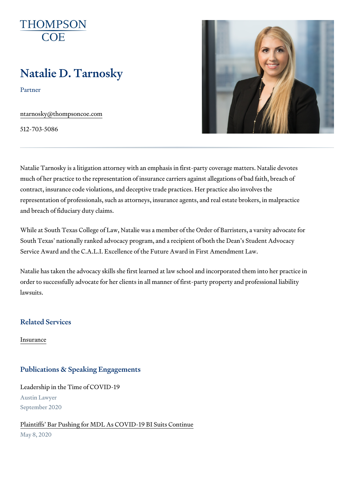# Natalie D. Tarnosky

Partner

[ntarnosky@thomps](mailto:ntarnosky@thompsoncoe.com)oncoe.com

512-703-5086

Natalie Tarnosky is a litigation attorney with an emphasis in first-party co much of her practice to the representation of insurance carriers against al contract, insurance code violations, and deceptive trade practices. Her pra representation of professionals, such as attorneys, insurance agents, and and breach of fiduciary duty claims.

While at South Texas College of Law, Natalie was a member of the Order o South Texas nationally ranked advocacy program, and a recipient of both Service Award and the C.A.L.I. Excellence of the Future Award in First Am

Natalie has taken the advocacy skills she first learned at law school and i order to successfully advocate for her clients in all manner of first-party p lawsuits.

Related Services

[Insura](https://www.thompsoncoe.com/people/natalie-d-tarnosky/)nce

#### Publications & Speaking Engagements

Leadership in the Time of COVID-19 Austin Lawyer September 2020

[Plaintiffs Bar Pushing for MDL As COV](https://www.thompsoncoe.com/resources/publications/plaintiffs-bar-pushing-for-mdl-as-covid-19-bi-suits-continue/)ID-19 BI Suits Continue May 8, 2020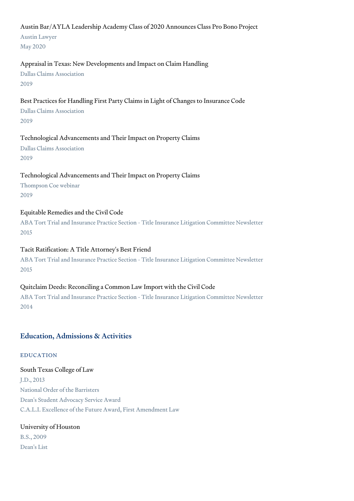#### Austin Bar/AYLA Leadership Academy Class of 2020 Announces Class Pro Bono Project

Austin Lawyer May 2020

#### Appraisal in Texas: New Developments and Impact on Claim Handling

Dallas Claims Association 2019

#### Best Practices for Handling First Party Claims in Light of Changes to Insurance Code

Dallas Claims Association 2019

#### Technological Advancements and Their Impact on Property Claims

Dallas Claims Association 2019

## Technological Advancements and Their Impact on Property Claims

Thompson Coe webinar 2019

## Equitable Remedies and the Civil Code

ABA Tort Trial and Insurance Practice Section - Title Insurance Litigation Committee Newsletter 2015

#### Tacit Ratification: A Title Attorney's Best Friend

ABA Tort Trial and Insurance Practice Section - Title Insurance Litigation Committee Newsletter 2015

#### Quitclaim Deeds: Reconciling a Common Law Import with the Civil Code

ABA Tort Trial and Insurance Practice Section - Title Insurance Litigation Committee Newsletter 2014

# Education, Admissions & Activities

#### EDUCATION

South Texas College of Law J.D., 2013 National Order of the Barristers Dean's Student Advocacy Service Award C.A.L.I. Excellence of the Future Award, First Amendment Law

# University of Houston B.S., 2009 Dean's List